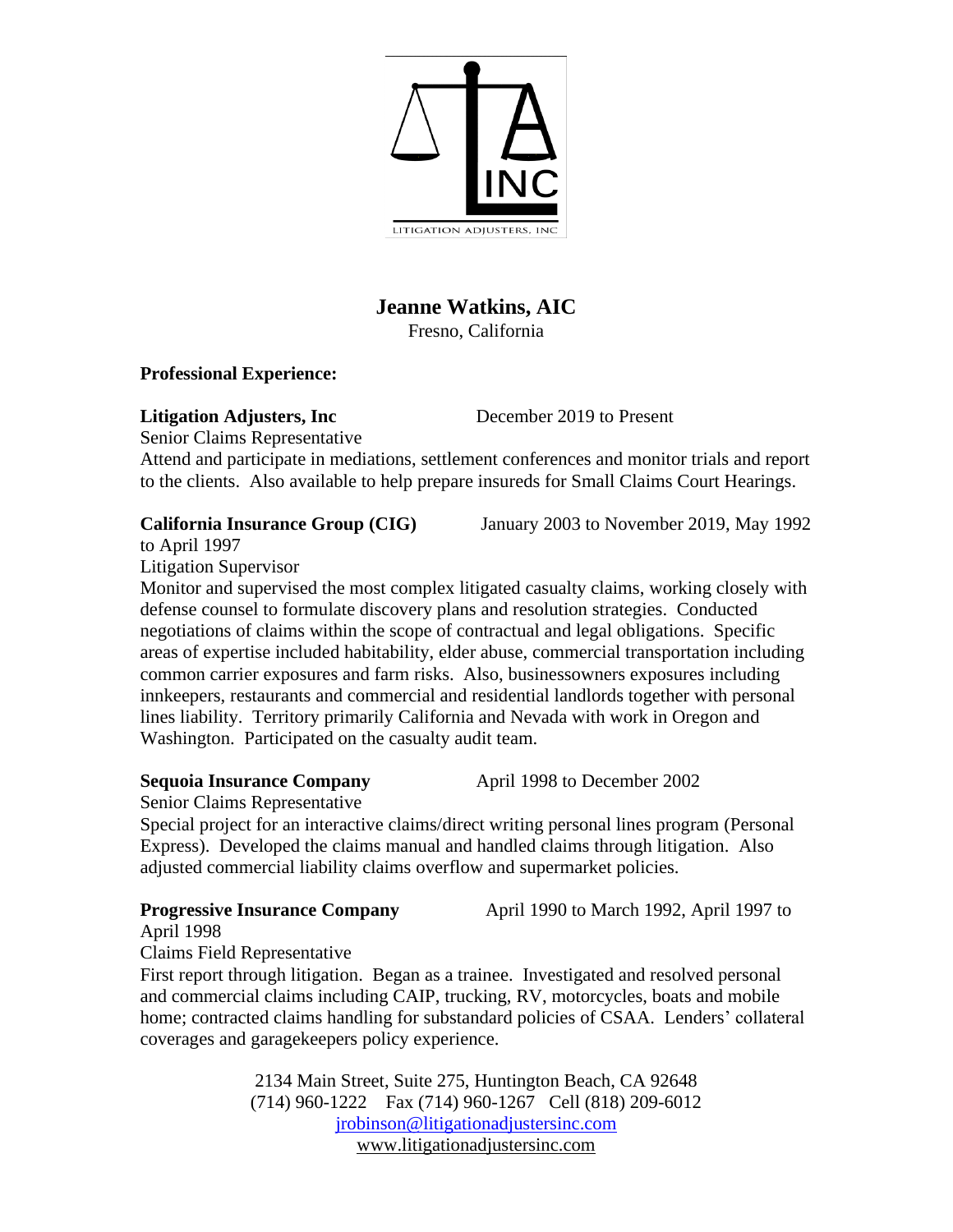

# **Jeanne Watkins, AIC**

Fresno, California

## **Professional Experience:**

## **Litigation Adjusters, Inc** December 2019 to Present

Senior Claims Representative

Attend and participate in mediations, settlement conferences and monitor trials and report to the clients. Also available to help prepare insureds for Small Claims Court Hearings.

to April 1997

Litigation Supervisor

Monitor and supervised the most complex litigated casualty claims, working closely with defense counsel to formulate discovery plans and resolution strategies. Conducted negotiations of claims within the scope of contractual and legal obligations. Specific areas of expertise included habitability, elder abuse, commercial transportation including common carrier exposures and farm risks. Also, businessowners exposures including innkeepers, restaurants and commercial and residential landlords together with personal lines liability. Territory primarily California and Nevada with work in Oregon and Washington. Participated on the casualty audit team.

# **Sequoia Insurance Company** April 1998 to December 2002

Senior Claims Representative

Special project for an interactive claims/direct writing personal lines program (Personal Express). Developed the claims manual and handled claims through litigation. Also adjusted commercial liability claims overflow and supermarket policies.

**Progressive Insurance Company** April 1990 to March 1992, April 1997 to

April 1998

Claims Field Representative

First report through litigation. Began as a trainee. Investigated and resolved personal and commercial claims including CAIP, trucking, RV, motorcycles, boats and mobile home; contracted claims handling for substandard policies of CSAA. Lenders' collateral coverages and garagekeepers policy experience.

> 2134 Main Street, Suite 275, Huntington Beach, CA 92648 (714) 960-1222 Fax (714) 960-1267 Cell (818) 209-6012 [jrobinson@litigationadjustersinc.com](mailto:jrobinson@litigationadjustersinc.com) www.litigationadjustersinc.com

**California Insurance Group (CIG)** January 2003 to November 2019, May 1992